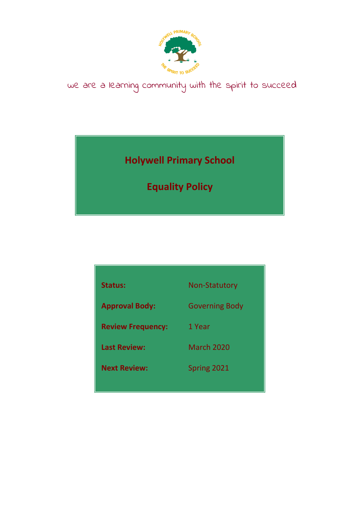

# we are a learning community with the spirit to succeed

**Holywell Primary School**

**Equality Policy**

| <b>Status:</b>           | <b>Non-Statutory</b>  |
|--------------------------|-----------------------|
| <b>Approval Body:</b>    | <b>Governing Body</b> |
| <b>Review Frequency:</b> | 1 Year                |
| <b>Last Review:</b>      | <b>March 2020</b>     |
| <b>Next Review:</b>      | Spring 2021           |
|                          |                       |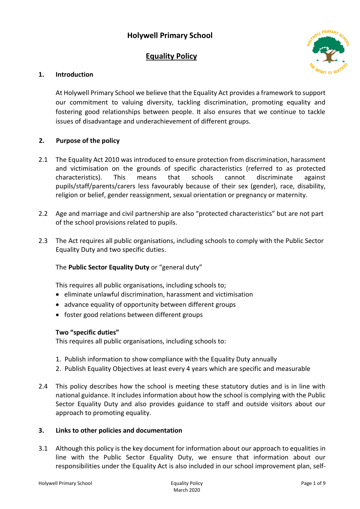# **Holywell Primary School**

# **Equality Policy**



# **1. Introduction**

At Holywell Primary School we believe that the Equality Act provides a framework to support our commitment to valuing diversity, tackling discrimination, promoting equality and fostering good relationships between people. It also ensures that we continue to tackle issues of disadvantage and underachievement of different groups.

#### **2. Purpose of the policy**

- 2.1 The Equality Act 2010 was introduced to ensure protection from discrimination, harassment and victimisation on the grounds of specific characteristics (referred to as protected characteristics). This means that schools cannot discriminate against pupils/staff/parents/carers less favourably because of their sex (gender), race, disability, religion or belief, gender reassignment, sexual orientation or pregnancy or maternity.
- 2.2 Age and marriage and civil partnership are also "protected characteristics" but are not part of the school provisions related to pupils.
- 2.3 The Act requires all public organisations, including schools to comply with the Public Sector Equality Duty and two specific duties.

# The **Public Sector Equality Duty** or "general duty"

This requires all public organisations, including schools to;

- eliminate unlawful discrimination, harassment and victimisation
- advance equality of opportunity between different groups
- foster good relations between different groups

#### **Two "specific duties"**

This requires all public organisations, including schools to:

- 1. Publish information to show compliance with the Equality Duty annually
- 2. Publish Equality Objectives at least every 4 years which are specific and measurable
- 2.4 This policy describes how the school is meeting these statutory duties and is in line with national guidance. It includes information about how the school is complying with the Public Sector Equality Duty and also provides guidance to staff and outside visitors about our approach to promoting equality.

#### **3. Links to other policies and documentation**

3.1 Although this policy is the key document for information about our approach to equalities in line with the Public Sector Equality Duty, we ensure that information about our responsibilities under the Equality Act is also included in our school improvement plan, self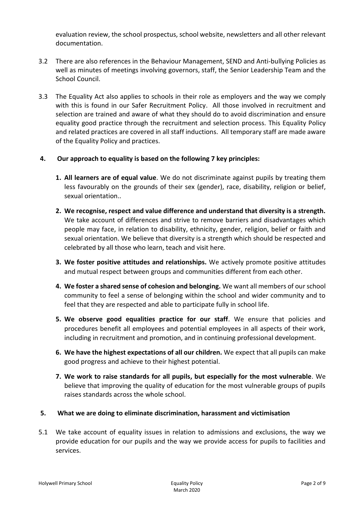evaluation review, the school prospectus, school website, newsletters and all other relevant documentation.

- 3.2 There are also references in the Behaviour Management, SEND and Anti-bullying Policies as well as minutes of meetings involving governors, staff, the Senior Leadership Team and the School Council.
- 3.3 The Equality Act also applies to schools in their role as employers and the way we comply with this is found in our Safer Recruitment Policy. All those involved in recruitment and selection are trained and aware of what they should do to avoid discrimination and ensure equality good practice through the recruitment and selection process. This Equality Policy and related practices are covered in all staff inductions. All temporary staff are made aware of the Equality Policy and practices.

#### **4. Our approach to equality is based on the following 7 key principles:**

- **1. All learners are of equal value**. We do not discriminate against pupils by treating them less favourably on the grounds of their sex (gender), race, disability, religion or belief, sexual orientation..
- **2. We recognise, respect and value difference and understand that diversity is a strength.**  We take account of differences and strive to remove barriers and disadvantages which people may face, in relation to disability, ethnicity, gender, religion, belief or faith and sexual orientation. We believe that diversity is a strength which should be respected and celebrated by all those who learn, teach and visit here.
- **3. We foster positive attitudes and relationships.** We actively promote positive attitudes and mutual respect between groups and communities different from each other.
- **4. We foster a shared sense of cohesion and belonging.** We want all members of our school community to feel a sense of belonging within the school and wider community and to feel that they are respected and able to participate fully in school life.
- **5. We observe good equalities practice for our staff**. We ensure that policies and procedures benefit all employees and potential employees in all aspects of their work, including in recruitment and promotion, and in continuing professional development.
- **6. We have the highest expectations of all our children.** We expect that all pupils can make good progress and achieve to their highest potential.
- **7. We work to raise standards for all pupils, but especially for the most vulnerable**. We believe that improving the quality of education for the most vulnerable groups of pupils raises standards across the whole school.

#### **5. What we are doing to eliminate discrimination, harassment and victimisation**

5.1 We take account of equality issues in relation to admissions and exclusions, the way we provide education for our pupils and the way we provide access for pupils to facilities and services.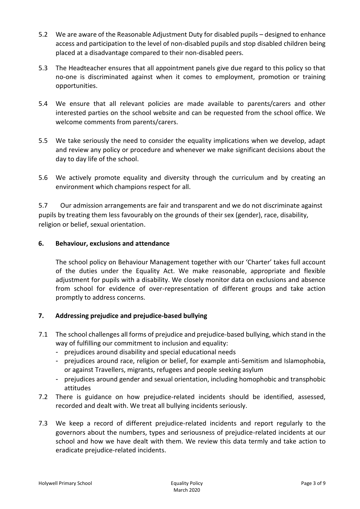- 5.2 We are aware of the Reasonable Adjustment Duty for disabled pupils designed to enhance access and participation to the level of non-disabled pupils and stop disabled children being placed at a disadvantage compared to their non-disabled peers.
- 5.3 The Headteacher ensures that all appointment panels give due regard to this policy so that no-one is discriminated against when it comes to employment, promotion or training opportunities.
- 5.4 We ensure that all relevant policies are made available to parents/carers and other interested parties on the school website and can be requested from the school office. We welcome comments from parents/carers.
- 5.5 We take seriously the need to consider the equality implications when we develop, adapt and review any policy or procedure and whenever we make significant decisions about the day to day life of the school.
- 5.6 We actively promote equality and diversity through the curriculum and by creating an environment which champions respect for all.

5.7 Our admission arrangements are fair and transparent and we do not discriminate against pupils by treating them less favourably on the grounds of their sex (gender), race, disability, religion or belief, sexual orientation.

# **6. Behaviour, exclusions and attendance**

The school policy on Behaviour Management together with our 'Charter' takes full account of the duties under the Equality Act. We make reasonable, appropriate and flexible adjustment for pupils with a disability. We closely monitor data on exclusions and absence from school for evidence of over-representation of different groups and take action promptly to address concerns.

# **7. Addressing prejudice and prejudice-based bullying**

- 7.1 The school challenges all forms of prejudice and prejudice-based bullying, which stand in the way of fulfilling our commitment to inclusion and equality:
	- prejudices around disability and special educational needs
	- prejudices around race, religion or belief, for example anti-Semitism and Islamophobia, or against Travellers, migrants, refugees and people seeking asylum
	- prejudices around gender and sexual orientation, including homophobic and transphobic attitudes
- 7.2 There is guidance on how prejudice-related incidents should be identified, assessed, recorded and dealt with. We treat all bullying incidents seriously.
- 7.3 We keep a record of different prejudice-related incidents and report regularly to the governors about the numbers, types and seriousness of prejudice-related incidents at our school and how we have dealt with them. We review this data termly and take action to eradicate prejudice-related incidents.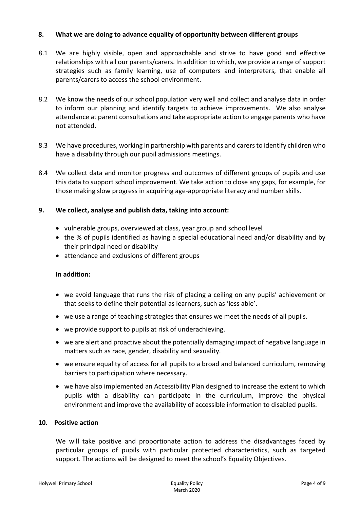#### **8. What we are doing to advance equality of opportunity between different groups**

- 8.1 We are highly visible, open and approachable and strive to have good and effective relationships with all our parents/carers. In addition to which, we provide a range of support strategies such as family learning, use of computers and interpreters, that enable all parents/carers to access the school environment.
- 8.2 We know the needs of our school population very well and collect and analyse data in order to inform our planning and identify targets to achieve improvements. We also analyse attendance at parent consultations and take appropriate action to engage parents who have not attended.
- 8.3 We have procedures, working in partnership with parents and carers to identify children who have a disability through our pupil admissions meetings.
- 8.4 We collect data and monitor progress and outcomes of different groups of pupils and use this data to support school improvement. We take action to close any gaps, for example, for those making slow progress in acquiring age-appropriate literacy and number skills.

#### **9. We collect, analyse and publish data, taking into account:**

- vulnerable groups, overviewed at class, year group and school level
- the % of pupils identified as having a special educational need and/or disability and by their principal need or disability
- attendance and exclusions of different groups

#### **In addition:**

- we avoid language that runs the risk of placing a ceiling on any pupils' achievement or that seeks to define their potential as learners, such as 'less able'.
- we use a range of teaching strategies that ensures we meet the needs of all pupils.
- we provide support to pupils at risk of underachieving.
- we are alert and proactive about the potentially damaging impact of negative language in matters such as race, gender, disability and sexuality.
- we ensure equality of access for all pupils to a broad and balanced curriculum, removing barriers to participation where necessary.
- we have also implemented an Accessibility Plan designed to increase the extent to which pupils with a disability can participate in the curriculum, improve the physical environment and improve the availability of accessible information to disabled pupils.

#### **10. Positive action**

We will take positive and proportionate action to address the disadvantages faced by particular groups of pupils with particular protected characteristics, such as targeted support. The actions will be designed to meet the school's Equality Objectives.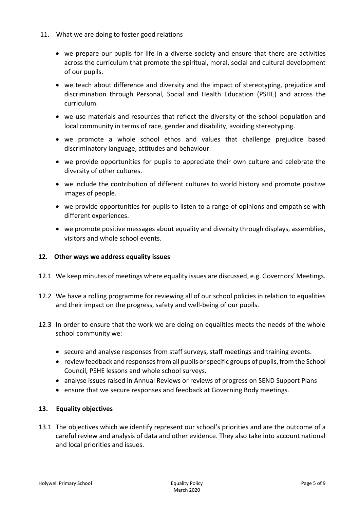- 11. What we are doing to foster good relations
	- we prepare our pupils for life in a diverse society and ensure that there are activities across the curriculum that promote the spiritual, moral, social and cultural development of our pupils.
	- we teach about difference and diversity and the impact of stereotyping, prejudice and discrimination through Personal, Social and Health Education (PSHE) and across the curriculum.
	- we use materials and resources that reflect the diversity of the school population and local community in terms of race, gender and disability, avoiding stereotyping.
	- we promote a whole school ethos and values that challenge prejudice based discriminatory language, attitudes and behaviour.
	- we provide opportunities for pupils to appreciate their own culture and celebrate the diversity of other cultures.
	- we include the contribution of different cultures to world history and promote positive images of people.
	- we provide opportunities for pupils to listen to a range of opinions and empathise with different experiences.
	- we promote positive messages about equality and diversity through displays, assemblies, visitors and whole school events.

# **12. Other ways we address equality issues**

- 12.1 We keep minutes of meetings where equality issues are discussed, e.g. Governors' Meetings.
- 12.2 We have a rolling programme for reviewing all of our school policies in relation to equalities and their impact on the progress, safety and well-being of our pupils.
- 12.3 In order to ensure that the work we are doing on equalities meets the needs of the whole school community we:
	- secure and analyse responses from staff surveys, staff meetings and training events.
	- review feedback and responses from all pupils or specific groups of pupils, from the School Council, PSHE lessons and whole school surveys.
	- analyse issues raised in Annual Reviews or reviews of progress on SEND Support Plans
	- ensure that we secure responses and feedback at Governing Body meetings.

# **13. Equality objectives**

13.1 The objectives which we identify represent our school's priorities and are the outcome of a careful review and analysis of data and other evidence. They also take into account national and local priorities and issues.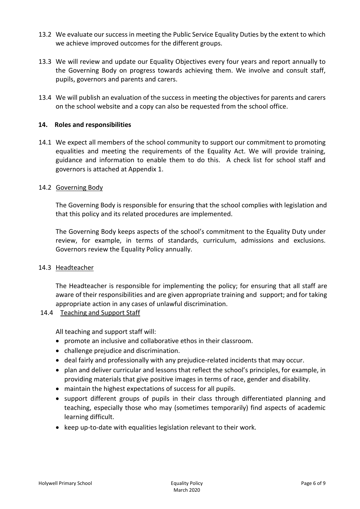- 13.2 We evaluate our success in meeting the Public Service Equality Duties by the extent to which we achieve improved outcomes for the different groups.
- 13.3 We will review and update our Equality Objectives every four years and report annually to the Governing Body on progress towards achieving them. We involve and consult staff, pupils, governors and parents and carers.
- 13.4 We will publish an evaluation of the success in meeting the objectives for parents and carers on the school website and a copy can also be requested from the school office.

#### **14. Roles and responsibilities**

14.1 We expect all members of the school community to support our commitment to promoting equalities and meeting the requirements of the Equality Act. We will provide training, guidance and information to enable them to do this. A check list for school staff and governors is attached at Appendix 1.

#### 14.2 Governing Body

The Governing Body is responsible for ensuring that the school complies with legislation and that this policy and its related procedures are implemented.

The Governing Body keeps aspects of the school's commitment to the Equality Duty under review, for example, in terms of standards, curriculum, admissions and exclusions. Governors review the Equality Policy annually.

#### 14.3 Headteacher

The Headteacher is responsible for implementing the policy; for ensuring that all staff are aware of their responsibilities and are given appropriate training and support; and for taking appropriate action in any cases of unlawful discrimination.

#### 14.4 Teaching and Support Staff

All teaching and support staff will:

- promote an inclusive and collaborative ethos in their classroom.
- challenge prejudice and discrimination.
- deal fairly and professionally with any prejudice-related incidents that may occur.
- plan and deliver curricular and lessons that reflect the school's principles, for example, in providing materials that give positive images in terms of race, gender and disability.
- maintain the highest expectations of success for all pupils.
- support different groups of pupils in their class through differentiated planning and teaching, especially those who may (sometimes temporarily) find aspects of academic learning difficult.
- keep up-to-date with equalities legislation relevant to their work.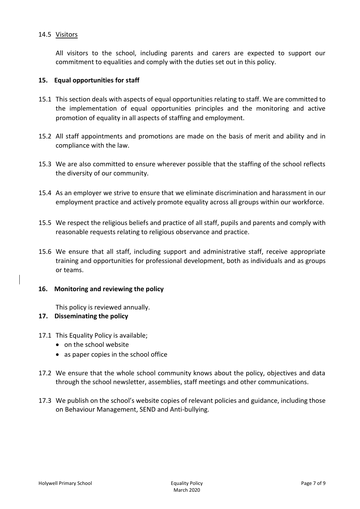#### 14.5 Visitors

All visitors to the school, including parents and carers are expected to support our commitment to equalities and comply with the duties set out in this policy.

#### **15. Equal opportunities for staff**

- 15.1 This section deals with aspects of equal opportunities relating to staff. We are committed to the implementation of equal opportunities principles and the monitoring and active promotion of equality in all aspects of staffing and employment.
- 15.2 All staff appointments and promotions are made on the basis of merit and ability and in compliance with the law.
- 15.3 We are also committed to ensure wherever possible that the staffing of the school reflects the diversity of our community.
- 15.4 As an employer we strive to ensure that we eliminate discrimination and harassment in our employment practice and actively promote equality across all groups within our workforce.
- 15.5 We respect the religious beliefs and practice of all staff, pupils and parents and comply with reasonable requests relating to religious observance and practice.
- 15.6 We ensure that all staff, including support and administrative staff, receive appropriate training and opportunities for professional development, both as individuals and as groups or teams.

#### **16. Monitoring and reviewing the policy**

This policy is reviewed annually.

#### **17. Disseminating the policy**

- 17.1 This Equality Policy is available;
	- on the school website
	- as paper copies in the school office
- 17.2 We ensure that the whole school community knows about the policy, objectives and data through the school newsletter, assemblies, staff meetings and other communications.
- 17.3 We publish on the school's website copies of relevant policies and guidance, including those on Behaviour Management, SEND and Anti-bullying.